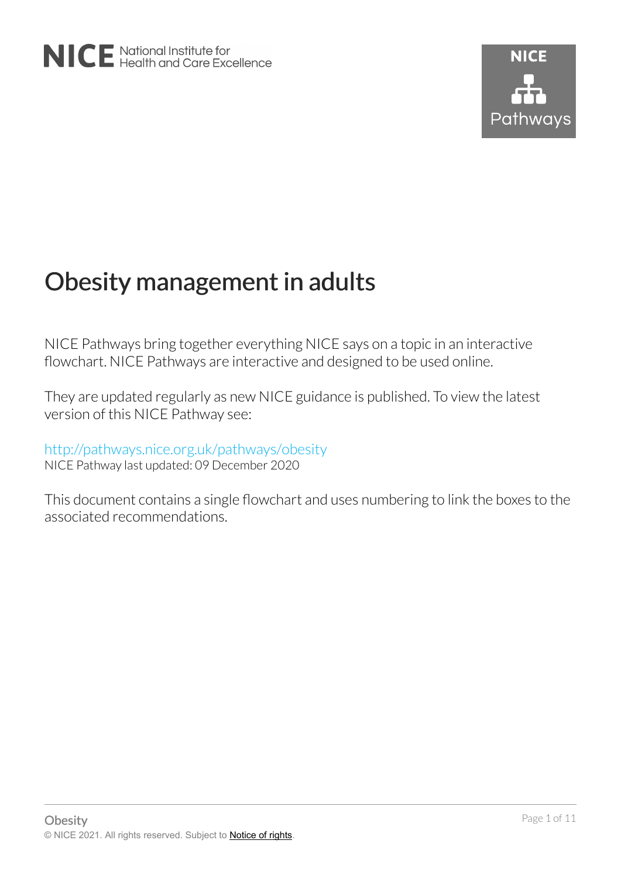# Obesity management in adults

NICE Pathways bring together everything NICE says on a topic in an interactive flowchart. NICE Pathways are interactive and designed to be used online.

They are updated regularly as new NICE guidance is published. To view the latest version of this NICE Pathway see:

## <http://pathways.nice.org.uk/pathways/obesity>

NICE Pathway last updated: 09 December 2020

This document contains a single flowchart and uses numbering to link the boxes to the associated recommendations.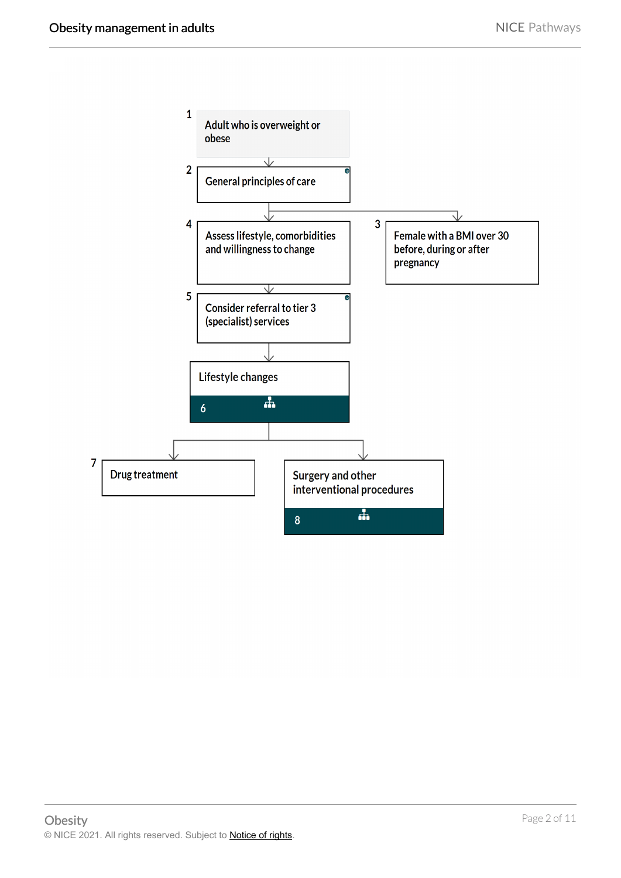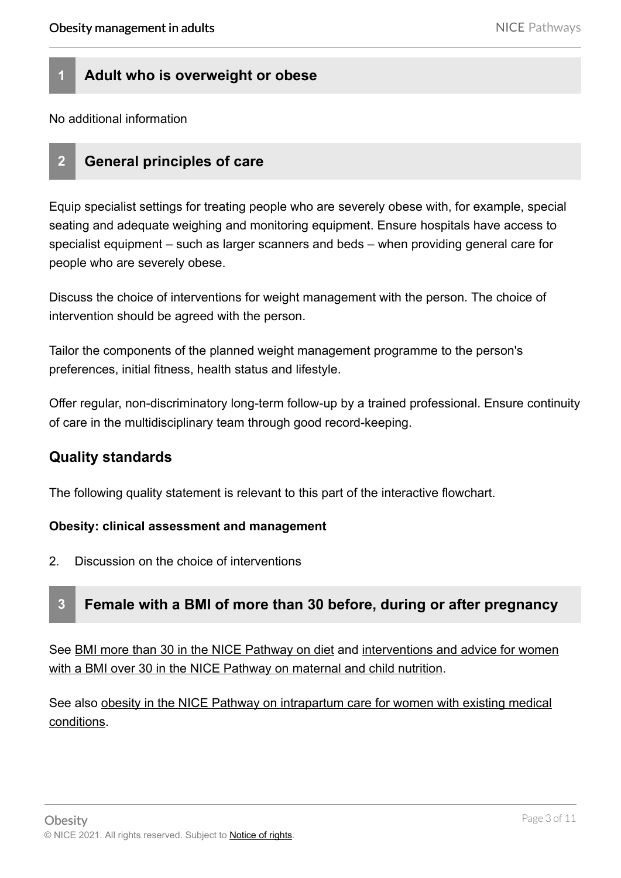## **1 Adult who is overweight or obese**

No additional information

### **2 General principles of care**

Equip specialist settings for treating people who are severely obese with, for example, special seating and adequate weighing and monitoring equipment. Ensure hospitals have access to specialist equipment – such as larger scanners and beds – when providing general care for people who are severely obese.

Discuss the choice of interventions for weight management with the person. The choice of intervention should be agreed with the person.

Tailor the components of the planned weight management programme to the person's preferences, initial fitness, health status and lifestyle.

Offer regular, non-discriminatory long-term follow-up by a trained professional. Ensure continuity of care in the multidisciplinary team through good record-keeping.

#### **Quality standards**

The following quality statement is relevant to this part of the interactive flowchart.

#### **Obesity: clinical assessment and management**

2. Discussion on the choice of interventions

## **3 Female with a BMI of more than 30 before, during or after pregnancy**

See [BMI more than 30 in the NICE Pathway on diet](https://pathways.nice.org.uk/pathways/diet/dietary-interventions-and-advice-for-adults#content=view-node%3Anodes-bmi-more-than-30) and [interventions and advice for women](https://pathways.nice.org.uk/pathways/maternal-and-child-nutrition/maternal-and-child-nutrition-in-primary-and-secondary-care-and-community-health-services#content=view-node%3Anodes-interventions-and-advice-for-women-with-a-bmi-of-over-30-who-may-become-pregnant-are-pregnant-or-breastfeeding-or-who-have-had-a-baby)  [with a BMI over 30 in the NICE Pathway on maternal and child nutrition.](https://pathways.nice.org.uk/pathways/maternal-and-child-nutrition/maternal-and-child-nutrition-in-primary-and-secondary-care-and-community-health-services#content=view-node%3Anodes-interventions-and-advice-for-women-with-a-bmi-of-over-30-who-may-become-pregnant-are-pregnant-or-breastfeeding-or-who-have-had-a-baby)

See also [obesity in the NICE Pathway on intrapartum care for women with existing medical](https://pathways.nice.org.uk/pathways/intrapartum-care-for-women-with-existing-medical-conditions/intrapartum-care-for-women-with-existing-medical-conditions-overview#content=view-node%3Anodes-obesity) [conditions](https://pathways.nice.org.uk/pathways/intrapartum-care-for-women-with-existing-medical-conditions/intrapartum-care-for-women-with-existing-medical-conditions-overview#content=view-node%3Anodes-obesity).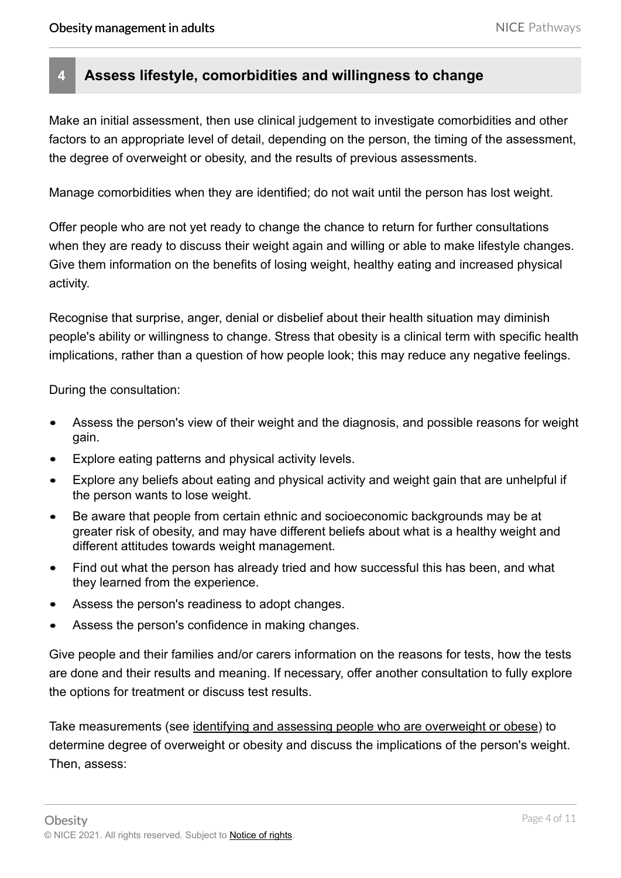## **4 Assess lifestyle, comorbidities and willingness to change**

Make an initial assessment, then use clinical judgement to investigate comorbidities and other factors to an appropriate level of detail, depending on the person, the timing of the assessment, the degree of overweight or obesity, and the results of previous assessments.

Manage comorbidities when they are identified; do not wait until the person has lost weight.

Offer people who are not yet ready to change the chance to return for further consultations when they are ready to discuss their weight again and willing or able to make lifestyle changes. Give them information on the benefits of losing weight, healthy eating and increased physical activity.

Recognise that surprise, anger, denial or disbelief about their health situation may diminish people's ability or willingness to change. Stress that obesity is a clinical term with specific health implications, rather than a question of how people look; this may reduce any negative feelings.

During the consultation:

- Assess the person's view of their weight and the diagnosis, and possible reasons for weight gain.
- Explore eating patterns and physical activity levels.
- Explore any beliefs about eating and physical activity and weight gain that are unhelpful if the person wants to lose weight.
- Be aware that people from certain ethnic and socioeconomic backgrounds may be at greater risk of obesity, and may have different beliefs about what is a healthy weight and different attitudes towards weight management.
- Find out what the person has already tried and how successful this has been, and what  $\bullet$ they learned from the experience.
- Assess the person's readiness to adopt changes.
- Assess the person's confidence in making changes.

Give people and their families and/or carers information on the reasons for tests, how the tests are done and their results and meaning. If necessary, offer another consultation to fully explore the options for treatment or discuss test results.

Take measurements (see [identifying and assessing people who are overweight or obese\)](https://pathways.nice.org.uk/pathways/obesity/identifying-and-assessing-people-who-are-overweight-or-obese) to determine degree of overweight or obesity and discuss the implications of the person's weight. Then, assess: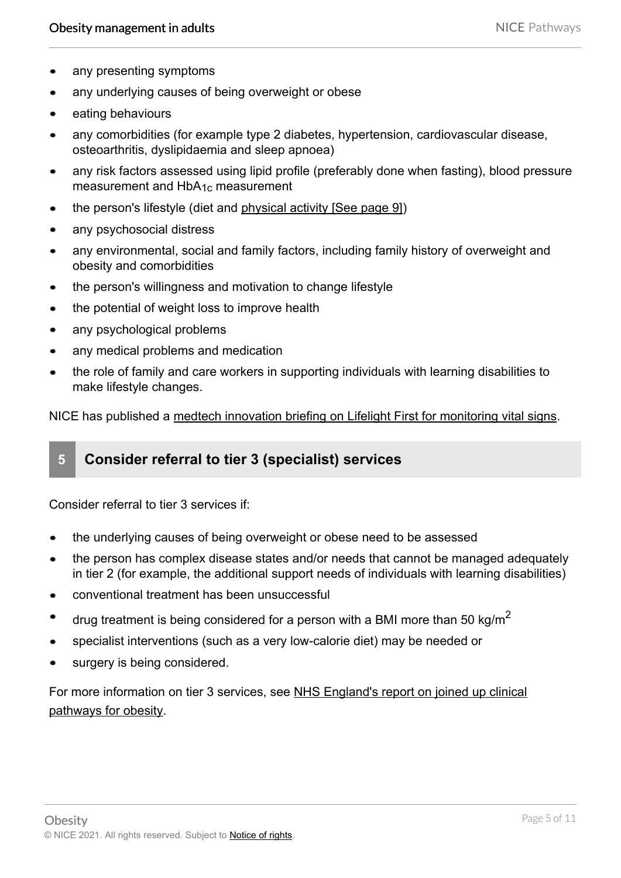- any presenting symptoms
- any underlying causes of being overweight or obese
- eating behaviours
- any comorbidities (for example type 2 diabetes, hypertension, cardiovascular disease, osteoarthritis, dyslipidaemia and sleep apnoea)
- any risk factors assessed using lipid profile (preferably done when fasting), blood pressure measurement and HbA1c measurement
- the person's lifestyle (diet and [physical activity](#page-8-0) [See page 9])
- any psychosocial distress
- any environmental, social and family factors, including family history of overweight and  $\blacksquare$ obesity and comorbidities
- the person's willingness and motivation to change lifestyle  $\bullet$
- the potential of weight loss to improve health  $\bullet$
- any psychological problems  $\bullet$
- any medical problems and medication
- the role of family and care workers in supporting individuals with learning disabilities to make lifestyle changes.

NICE has published a [medtech innovation briefing on Lifelight First for monitoring vital signs.](http://www.nice.org.uk/advice/MIB213)

## **5 Consider referral to tier 3 (specialist) services**

Consider referral to tier 3 services if:

- the underlying causes of being overweight or obese need to be assessed
- the person has complex disease states and/or needs that cannot be managed adequately in tier 2 (for example, the additional support needs of individuals with learning disabilities)
- conventional treatment has been unsuccessful
- drug treatment is being considered for a person with a BMI more than 50 kg/m<sup>2</sup>
- specialist interventions (such as a very low-calorie diet) may be needed or
- surgery is being considered.

For more information on tier 3 services, see [NHS England's report on joined up clinical](http://www.england.nhs.uk/wp-content/uploads/2014/03/owg-join-clinc-path.pdf)  [pathways for obesity](http://www.england.nhs.uk/wp-content/uploads/2014/03/owg-join-clinc-path.pdf).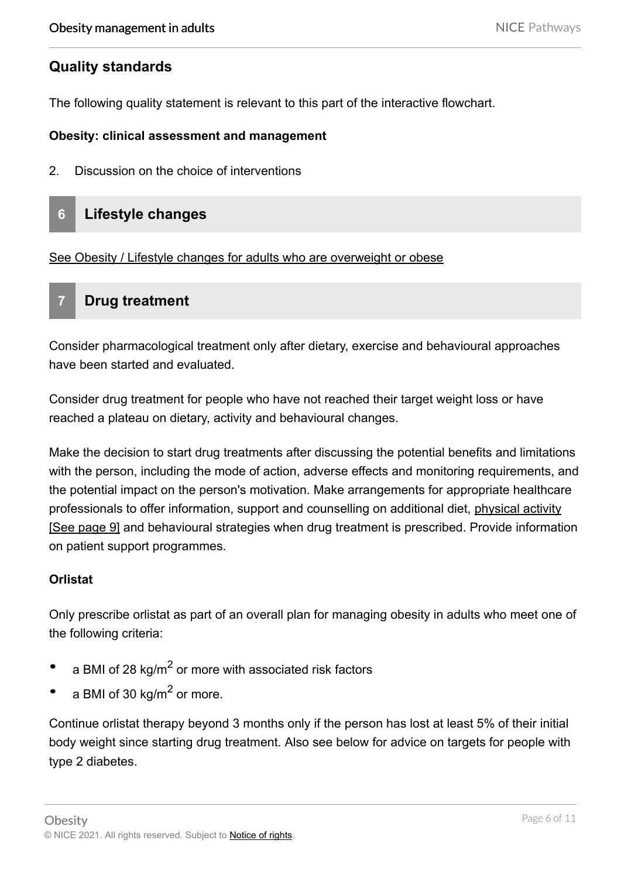## **Quality standards**

The following quality statement is relevant to this part of the interactive flowchart.

#### **Obesity: clinical assessment and management**

2. Discussion on the choice of interventions

## **6 Lifestyle changes**

[See Obesity / Lifestyle changes for adults who are overweight or obese](https://pathways.nice.org.uk/pathways/obesity/lifestyle-changes-for-adults-who-are-overweight-or-obese) 

## **7 Drug treatment**

Consider pharmacological treatment only after dietary, exercise and behavioural approaches have been started and evaluated.

Consider drug treatment for people who have not reached their target weight loss or have reached a plateau on dietary, activity and behavioural changes.

Make the decision to start drug treatments after discussing the potential benefits and limitations with the person, including the mode of action, adverse effects and monitoring requirements, and the potential impact on the person's motivation. Make arrangements for appropriate healthcare professionals to offer information, support and counselling on additional diet, [physical activity](#page-8-0) [\[See page 9\]](#page-8-0) and behavioural strategies when drug treatment is prescribed. Provide information on patient support programmes.

#### **Orlistat**

Only prescribe orlistat as part of an overall plan for managing obesity in adults who meet one of the following criteria:

- a BMI of 28 kg/m<sup>2</sup> or more with associated risk factors ٠
- a BMI of 30 kg/m $^2$  or more.

Continue orlistat therapy beyond 3 months only if the person has lost at least 5% of their initial body weight since starting drug treatment. Also see below for advice on targets for people with type 2 diabetes.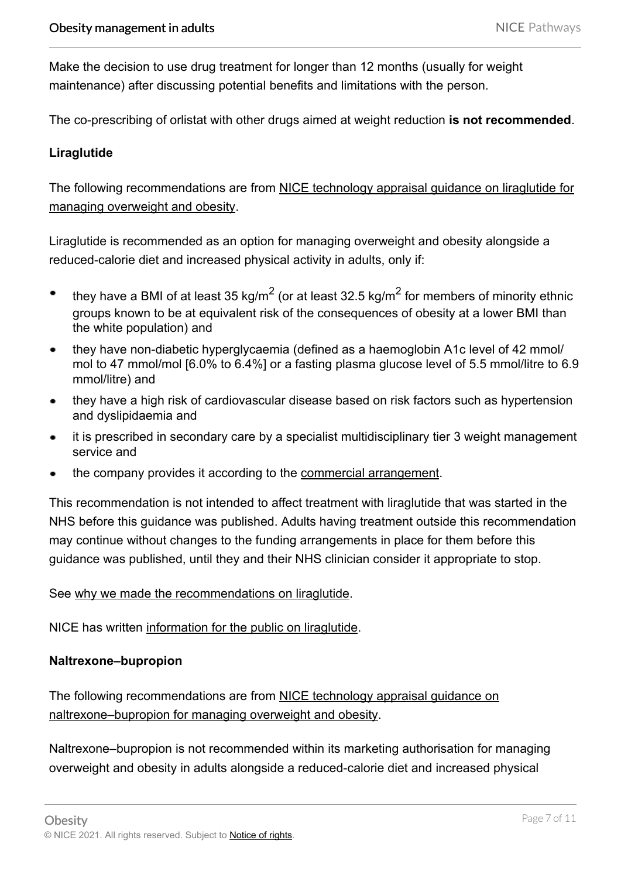Make the decision to use drug treatment for longer than 12 months (usually for weight maintenance) after discussing potential benefits and limitations with the person.

The co-prescribing of orlistat with other drugs aimed at weight reduction **is not recommended**.

#### **Liraglutide**

The following recommendations are from NICE technology appraisal guidance on liraglutide for [managing overweight and obesity.](http://www.nice.org.uk/Guidance/TA664)

Liraglutide is recommended as an option for managing overweight and obesity alongside a reduced-calorie diet and increased physical activity in adults, only if:

- they have a [BMI](#page-8-1) of at least 35 kg/m<sup>2</sup> (or at least 32.5 kg/m<sup>2</sup> for members of minority ethnic  $\bullet$ groups known to be at equivalent risk of the consequences of obesity at a lower BMI than the white population) and
- they have non-diabetic hyperglycaemia (defined as a haemoglobin A1c level of 42 mmol/  $\bullet$ mol to 47 mmol/mol [6.0% to 6.4%] or a fasting plasma glucose level of 5.5 mmol/litre to 6.9 mmol/litre) and
- they have a high risk of cardiovascular disease based on risk factors such as hypertension and dyslipidaemia and
- it is prescribed in secondary care by a specialist multidisciplinary tier 3 weight management service and
- the company provides it according to the [commercial arrangement](http://www.nice.org.uk/Guidance/TA664).

This recommendation is not intended to affect treatment with liraglutide that was started in the NHS before this guidance was published. Adults having treatment outside this recommendation may continue without changes to the funding arrangements in place for them before this guidance was published, until they and their NHS clinician consider it appropriate to stop.

#### See [why we made the recommendations on liraglutide](http://www.nice.org.uk/guidance/TA664/chapter/1-Recommendations).

NICE has written [information for the public on liraglutide](http://www.nice.org.uk/guidance/TA664/InformationForPublic).

#### **Naltrexone–bupropion**

The following recommendations are from NICE technology appraisal guidance on [naltrexone–bupropion for managing overweight and obesity.](http://www.nice.org.uk/guidance/TA494)

Naltrexone–bupropion is not recommended within its marketing authorisation for managing overweight and obesity in adults alongside a reduced-calorie diet and increased physical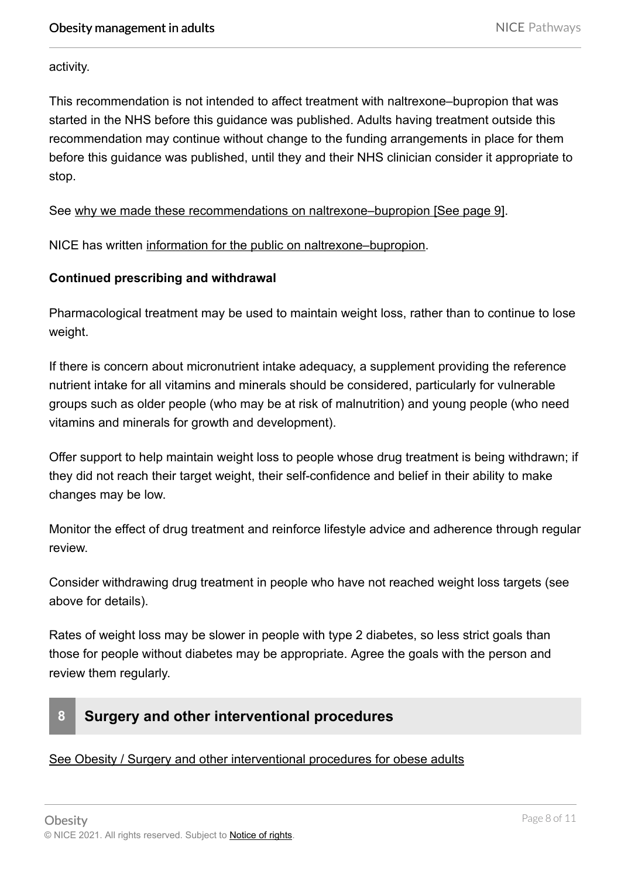activity.

This recommendation is not intended to affect treatment with naltrexone–bupropion that was started in the NHS before this guidance was published. Adults having treatment outside this recommendation may continue without change to the funding arrangements in place for them before this guidance was published, until they and their NHS clinician consider it appropriate to stop.

See [why we made these recommendations on naltrexone–bupropion](#page-8-2) [See page 9].

NICE has written [information for the public on naltrexone–bupropion.](http://www.nice.org.uk/guidance/TA494/informationforpublic)

#### **Continued prescribing and withdrawal**

Pharmacological treatment may be used to maintain weight loss, rather than to continue to lose weight.

If there is concern about micronutrient intake adequacy, a supplement providing the reference nutrient intake for all vitamins and minerals should be considered, particularly for vulnerable groups such as older people (who may be at risk of malnutrition) and young people (who need vitamins and minerals for growth and development).

Offer support to help maintain weight loss to people whose drug treatment is being withdrawn; if they did not reach their target weight, their self-confidence and belief in their ability to make changes may be low.

Monitor the effect of drug treatment and reinforce lifestyle advice and adherence through regular review.

Consider withdrawing drug treatment in people who have not reached weight loss targets (see above for details).

Rates of weight loss may be slower in people with type 2 diabetes, so less strict goals than those for people without diabetes may be appropriate. Agree the goals with the person and review them regularly.

## **8 Surgery and other interventional procedures**

#### See Obesity / Surgery and other interventional procedures for obese adults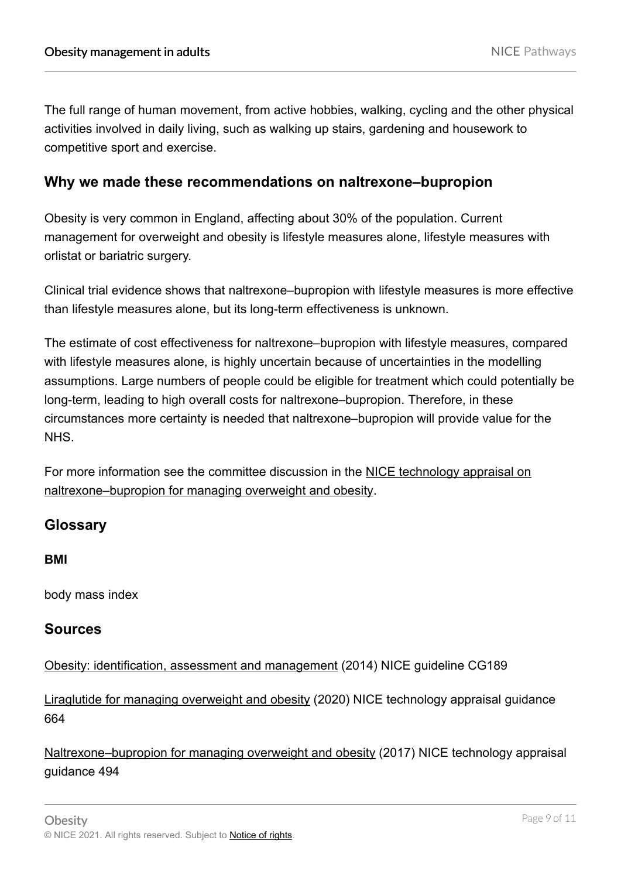<span id="page-8-0"></span>The full range of human movement, from active hobbies, walking, cycling and the other physical activities involved in daily living, such as walking up stairs, gardening and housework to competitive sport and exercise.

## <span id="page-8-2"></span>**Why we made these recommendations on naltrexone–bupropion**

Obesity is very common in England, affecting about 30% of the population. Current management for overweight and obesity is lifestyle measures alone, lifestyle measures with orlistat or bariatric surgery.

Clinical trial evidence shows that naltrexone–bupropion with lifestyle measures is more effective than lifestyle measures alone, but its long-term effectiveness is unknown.

The estimate of cost effectiveness for naltrexone–bupropion with lifestyle measures, compared with lifestyle measures alone, is highly uncertain because of uncertainties in the modelling assumptions. Large numbers of people could be eligible for treatment which could potentially be long-term, leading to high overall costs for naltrexone–bupropion. Therefore, in these circumstances more certainty is needed that naltrexone–bupropion will provide value for the NHS.

For more information see the committee discussion in the [NICE technology appraisal on](http://www.nice.org.uk/guidance/TA494) [naltrexone–bupropion for managing overweight and obesity](http://www.nice.org.uk/guidance/TA494).

## **Glossary**

**BMI** 

<span id="page-8-1"></span>body mass index

#### **Sources**

[Obesity: identification, assessment and management](http://www.nice.org.uk/guidance/CG189) (2014) NICE guideline CG189

[Liraglutide for managing overweight and obesity](http://www.nice.org.uk/Guidance/TA664) (2020) NICE technology appraisal guidance 664

[Naltrexone–bupropion for managing overweight and obesity](http://www.nice.org.uk/guidance/TA494) (2017) NICE technology appraisal guidance 494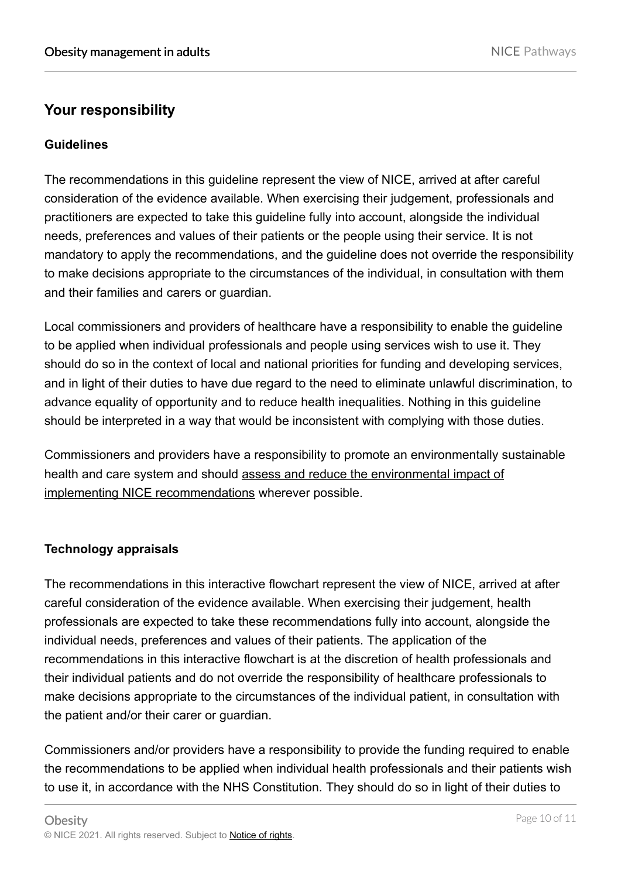## **Your responsibility**

#### **Guidelines**

The recommendations in this guideline represent the view of NICE, arrived at after careful consideration of the evidence available. When exercising their judgement, professionals and practitioners are expected to take this guideline fully into account, alongside the individual needs, preferences and values of their patients or the people using their service. It is not mandatory to apply the recommendations, and the guideline does not override the responsibility to make decisions appropriate to the circumstances of the individual, in consultation with them and their families and carers or guardian.

Local commissioners and providers of healthcare have a responsibility to enable the guideline to be applied when individual professionals and people using services wish to use it. They should do so in the context of local and national priorities for funding and developing services, and in light of their duties to have due regard to the need to eliminate unlawful discrimination, to advance equality of opportunity and to reduce health inequalities. Nothing in this guideline should be interpreted in a way that would be inconsistent with complying with those duties.

Commissioners and providers have a responsibility to promote an environmentally sustainable health and care system and should [assess and reduce the environmental impact of](https://www.nice.org.uk/about/who-we-are/sustainability) [implementing NICE recommendations](https://www.nice.org.uk/about/who-we-are/sustainability) wherever possible.

#### **Technology appraisals**

The recommendations in this interactive flowchart represent the view of NICE, arrived at after careful consideration of the evidence available. When exercising their judgement, health professionals are expected to take these recommendations fully into account, alongside the individual needs, preferences and values of their patients. The application of the recommendations in this interactive flowchart is at the discretion of health professionals and their individual patients and do not override the responsibility of healthcare professionals to make decisions appropriate to the circumstances of the individual patient, in consultation with the patient and/or their carer or guardian.

Commissioners and/or providers have a responsibility to provide the funding required to enable the recommendations to be applied when individual health professionals and their patients wish to use it, in accordance with the NHS Constitution. They should do so in light of their duties to